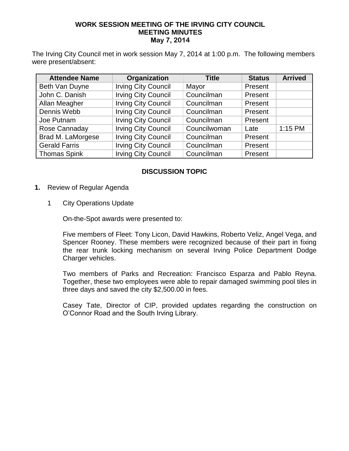## **WORK SESSION MEETING OF THE IRVING CITY COUNCIL MEETING MINUTES May 7, 2014**

The Irving City Council met in work session May 7, 2014 at 1:00 p.m. The following members were present/absent:

| <b>Attendee Name</b> | Organization               | <b>Title</b> | <b>Status</b> | <b>Arrived</b> |
|----------------------|----------------------------|--------------|---------------|----------------|
| Beth Van Duyne       | <b>Irving City Council</b> | Mayor        | Present       |                |
| John C. Danish       | <b>Irving City Council</b> | Councilman   | Present       |                |
| Allan Meagher        | <b>Irving City Council</b> | Councilman   | Present       |                |
| Dennis Webb          | <b>Irving City Council</b> | Councilman   | Present       |                |
| Joe Putnam           | <b>Irving City Council</b> | Councilman   | Present       |                |
| Rose Cannaday        | <b>Irving City Council</b> | Councilwoman | Late          | $1:15$ PM      |
| Brad M. LaMorgese    | <b>Irving City Council</b> | Councilman   | Present       |                |
| <b>Gerald Farris</b> | <b>Irving City Council</b> | Councilman   | Present       |                |
| <b>Thomas Spink</b>  | <b>Irving City Council</b> | Councilman   | Present       |                |

## **DISCUSSION TOPIC**

- **1.** Review of Regular Agenda
	- 1 City Operations Update

On-the-Spot awards were presented to:

Five members of Fleet: Tony Licon, David Hawkins, Roberto Veliz, Angel Vega, and Spencer Rooney. These members were recognized because of their part in fixing the rear trunk locking mechanism on several Irving Police Department Dodge Charger vehicles.

Two members of Parks and Recreation: Francisco Esparza and Pablo Reyna. Together, these two employees were able to repair damaged swimming pool tiles in three days and saved the city \$2,500.00 in fees.

Casey Tate, Director of CIP, provided updates regarding the construction on O'Connor Road and the South Irving Library.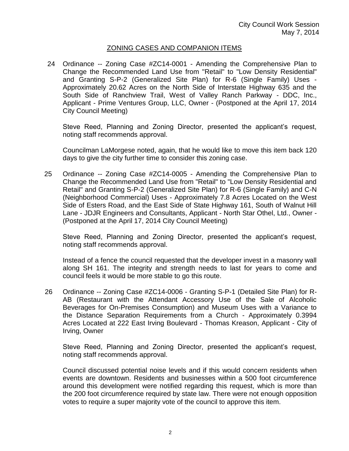## ZONING CASES AND COMPANION ITEMS

24 Ordinance -- Zoning Case #ZC14-0001 - Amending the Comprehensive Plan to Change the Recommended Land Use from "Retail" to "Low Density Residential" and Granting S-P-2 (Generalized Site Plan) for R-6 (Single Family) Uses - Approximately 20.62 Acres on the North Side of Interstate Highway 635 and the South Side of Ranchview Trail, West of Valley Ranch Parkway - DDC, Inc., Applicant - Prime Ventures Group, LLC, Owner - (Postponed at the April 17, 2014 City Council Meeting)

Steve Reed, Planning and Zoning Director, presented the applicant's request, noting staff recommends approval.

Councilman LaMorgese noted, again, that he would like to move this item back 120 days to give the city further time to consider this zoning case.

25 Ordinance -- Zoning Case #ZC14-0005 - Amending the Comprehensive Plan to Change the Recommended Land Use from "Retail" to "Low Density Residential and Retail" and Granting S-P-2 (Generalized Site Plan) for R-6 (Single Family) and C-N (Neighborhood Commercial) Uses - Approximately 7.8 Acres Located on the West Side of Esters Road, and the East Side of State Highway 161, South of Walnut Hill Lane - JDJR Engineers and Consultants, Applicant - North Star Othel, Ltd., Owner - (Postponed at the April 17, 2014 City Council Meeting)

Steve Reed, Planning and Zoning Director, presented the applicant's request, noting staff recommends approval.

Instead of a fence the council requested that the developer invest in a masonry wall along SH 161. The integrity and strength needs to last for years to come and council feels it would be more stable to go this route.

26 Ordinance -- Zoning Case #ZC14-0006 - Granting S-P-1 (Detailed Site Plan) for R-AB (Restaurant with the Attendant Accessory Use of the Sale of Alcoholic Beverages for On-Premises Consumption) and Museum Uses with a Variance to the Distance Separation Requirements from a Church - Approximately 0.3994 Acres Located at 222 East Irving Boulevard - Thomas Kreason, Applicant - City of Irving, Owner

Steve Reed, Planning and Zoning Director, presented the applicant's request, noting staff recommends approval.

Council discussed potential noise levels and if this would concern residents when events are downtown. Residents and businesses within a 500 foot circumference around this development were notified regarding this request, which is more than the 200 foot circumference required by state law. There were not enough opposition votes to require a super majority vote of the council to approve this item.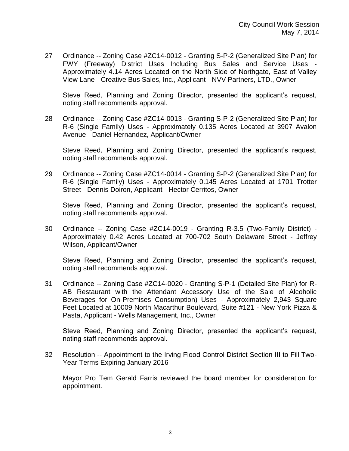27 Ordinance -- Zoning Case #ZC14-0012 - Granting S-P-2 (Generalized Site Plan) for FWY (Freeway) District Uses Including Bus Sales and Service Uses - Approximately 4.14 Acres Located on the North Side of Northgate, East of Valley View Lane - Creative Bus Sales, Inc., Applicant - NVV Partners, LTD., Owner

Steve Reed, Planning and Zoning Director, presented the applicant's request, noting staff recommends approval.

28 Ordinance -- Zoning Case #ZC14-0013 - Granting S-P-2 (Generalized Site Plan) for R-6 (Single Family) Uses - Approximately 0.135 Acres Located at 3907 Avalon Avenue - Daniel Hernandez, Applicant/Owner

Steve Reed, Planning and Zoning Director, presented the applicant's request, noting staff recommends approval.

29 Ordinance -- Zoning Case #ZC14-0014 - Granting S-P-2 (Generalized Site Plan) for R-6 (Single Family) Uses - Approximately 0.145 Acres Located at 1701 Trotter Street - Dennis Doiron, Applicant - Hector Cerritos, Owner

Steve Reed, Planning and Zoning Director, presented the applicant's request, noting staff recommends approval.

30 Ordinance -- Zoning Case #ZC14-0019 - Granting R-3.5 (Two-Family District) - Approximately 0.42 Acres Located at 700-702 South Delaware Street - Jeffrey Wilson, Applicant/Owner

Steve Reed, Planning and Zoning Director, presented the applicant's request, noting staff recommends approval.

31 Ordinance -- Zoning Case #ZC14-0020 - Granting S-P-1 (Detailed Site Plan) for R-AB Restaurant with the Attendant Accessory Use of the Sale of Alcoholic Beverages for On-Premises Consumption) Uses - Approximately 2,943 Square Feet Located at 10009 North Macarthur Boulevard, Suite #121 - New York Pizza & Pasta, Applicant - Wells Management, Inc., Owner

Steve Reed, Planning and Zoning Director, presented the applicant's request, noting staff recommends approval.

32 Resolution -- Appointment to the Irving Flood Control District Section III to Fill Two-Year Terms Expiring January 2016

Mayor Pro Tem Gerald Farris reviewed the board member for consideration for appointment.